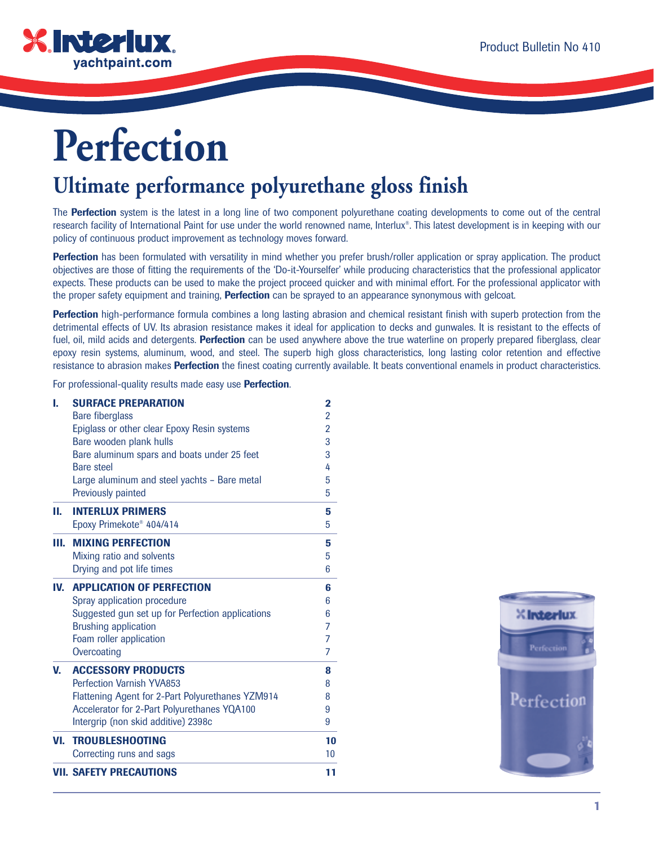

# **Perfection**

# **Ultimate performance polyurethane gloss finish**

The **Perfection** system is the latest in a long line of two component polyurethane coating developments to come out of the central research facility of International Paint for use under the world renowned name, Interlux®. This latest development is in keeping with our policy of continuous product improvement as technology moves forward.

Perfection has been formulated with versatility in mind whether you prefer brush/roller application or spray application. The product objectives are those of fitting the requirements of the 'Do-it-Yourselfer' while producing characteristics that the professional applicator expects. These products can be used to make the project proceed quicker and with minimal effort. For the professional applicator with the proper safety equipment and training, **Perfection** can be sprayed to an appearance synonymous with gelcoat.

Perfection high-performance formula combines a long lasting abrasion and chemical resistant finish with superb protection from the detrimental effects of UV. Its abrasion resistance makes it ideal for application to decks and gunwales. It is resistant to the effects of fuel, oil, mild acids and detergents. **Perfection** can be used anywhere above the true waterline on properly prepared fiberglass, clear epoxy resin systems, aluminum, wood, and steel. The superb high gloss characteristics, long lasting color retention and effective resistance to abrasion makes **Perfection** the finest coating currently available. It beats conventional enamels in product characteristics.

For professional-quality results made easy use **Perfection**.

| t.  | <b>SURFACE PREPARATION</b>                       | $\overline{2}$ |
|-----|--------------------------------------------------|----------------|
|     | <b>Bare fiberglass</b>                           | $\overline{2}$ |
|     | Epiglass or other clear Epoxy Resin systems      | $\overline{2}$ |
|     | Bare wooden plank hulls                          | 3              |
|     | Bare aluminum spars and boats under 25 feet      | 3              |
|     | Bare steel                                       | 4              |
|     | Large aluminum and steel yachts - Bare metal     | 5              |
|     | Previously painted                               | 5              |
| П.  | <b>INTERLUX PRIMERS</b>                          | 5              |
|     | Epoxy Primekote <sup>®</sup> 404/414             | 5              |
| Ш.  | <b>MIXING PERFECTION</b>                         | 5              |
|     | Mixing ratio and solvents                        | 5              |
|     | Drying and pot life times                        | 6              |
| IV. | <b>APPLICATION OF PERFECTION</b>                 | 6              |
|     | Spray application procedure                      | 6              |
|     | Suggested gun set up for Perfection applications | 6              |
|     | <b>Brushing application</b>                      | 7              |
|     | Foam roller application                          | 7              |
|     | Overcoating                                      | 7              |
| V.  | <b>ACCESSORY PRODUCTS</b>                        | 8              |
|     | <b>Perfection Varnish YVA853</b>                 | 8              |
|     | Flattening Agent for 2-Part Polyurethanes YZM914 | 8              |
|     | Accelerator for 2-Part Polyurethanes YQA100      | 9              |
|     | Intergrip (non skid additive) 2398c              | 9              |
| VI. | <b>TROUBLESHOOTING</b>                           | 10             |
|     | Correcting runs and sags                         | 10             |
|     | <b>VII. SAFETY PRECAUTIONS</b>                   | 11             |

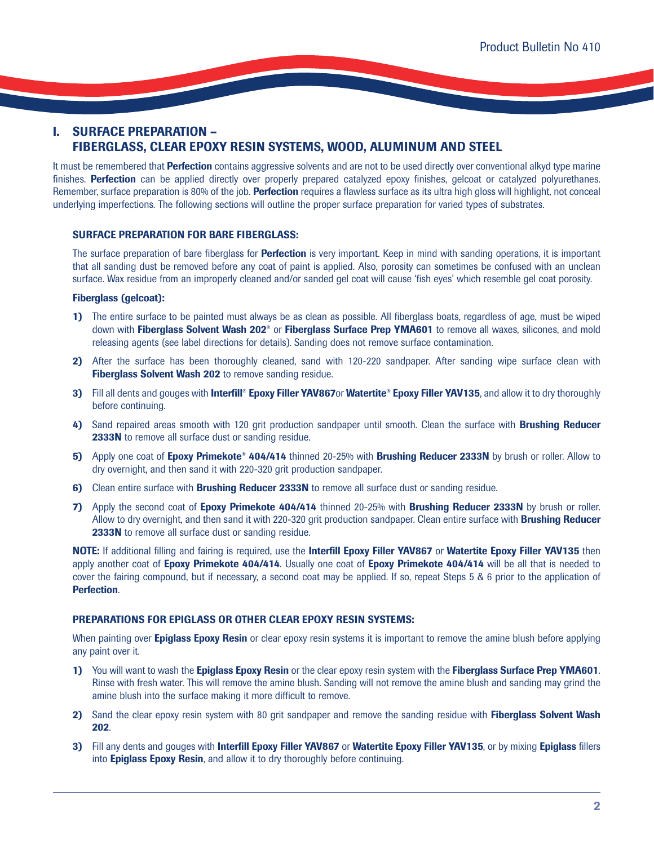# **I. SURFACE PREPARATION – FIBERGLASS, CLEAR EPOXY RESIN SYSTEMS, WOOD, ALUMINUM AND STEEL**

It must be remembered that **Perfection** contains aggressive solvents and are not to be used directly over conventional alkyd type marine finishes. **Perfection** can be applied directly over properly prepared catalyzed epoxy finishes, gelcoat or catalyzed polyurethanes. Remember, surface preparation is 80% of the job. **Perfection** requires a flawless surface as its ultra high gloss will highlight, not conceal underlying imperfections. The following sections will outline the proper surface preparation for varied types of substrates.

# **SURFACE PREPARATION FOR BARE FIBERGLASS:**

The surface preparation of bare fiberglass for **Perfection** is very important. Keep in mind with sanding operations, it is important that all sanding dust be removed before any coat of paint is applied. Also, porosity can sometimes be confused with an unclean surface. Wax residue from an improperly cleaned and/or sanded gel coat will cause 'fish eyes' which resemble gel coat porosity.

### **Fiberglass (gelcoat):**

- **1)** The entire surface to be painted must always be as clean as possible. All fiberglass boats, regardless of age, must be wiped down with **Fiberglass Solvent Wash 202®** or **Fiberglass Surface Prep YMA601** to remove all waxes, silicones, and mold releasing agents (see label directions for details). Sanding does not remove surface contamination.
- **2)** After the surface has been thoroughly cleaned, sand with 120-220 sandpaper. After sanding wipe surface clean with **Fiberglass Solvent Wash 202** to remove sanding residue.
- **3)** Fill all dents and gouges with **Interfill® Epoxy Filler YAV867**or **Watertite® Epoxy Filler YAV135**, and allow it to dry thoroughly before continuing.
- **4)** Sand repaired areas smooth with 120 grit production sandpaper until smooth. Clean the surface with **Brushing Reducer 2333N** to remove all surface dust or sanding residue.
- **5)** Apply one coat of **Epoxy Primekote® 404/414** thinned 20-25% with **Brushing Reducer 2333N** by brush or roller. Allow to dry overnight, and then sand it with 220-320 grit production sandpaper.
- **6)** Clean entire surface with **Brushing Reducer 2333N** to remove all surface dust or sanding residue.
- **7)** Apply the second coat of **Epoxy Primekote 404/414** thinned 20-25% with **Brushing Reducer 2333N** by brush or roller. Allow to dry overnight, and then sand it with 220-320 grit production sandpaper. Clean entire surface with **Brushing Reducer 2333N** to remove all surface dust or sanding residue.

**NOTE:** If additional filling and fairing is required, use the **Interfill Epoxy Filler YAV867** or **Watertite Epoxy Filler YAV135** then apply another coat of **Epoxy Primekote 404/414**. Usually one coat of **Epoxy Primekote 404/414** will be all that is needed to cover the fairing compound, but if necessary, a second coat may be applied. If so, repeat Steps 5 & 6 prior to the application of **Perfection**.

### **PREPARATIONS FOR EPIGLASS OR OTHER CLEAR EPOXY RESIN SYSTEMS:**

When painting over **Epiglass Epoxy Resin** or clear epoxy resin systems it is important to remove the amine blush before applying any paint over it.

- **1)** You will want to wash the **Epiglass Epoxy Resin** or the clear epoxy resin system with the **Fiberglass Surface Prep YMA601**. Rinse with fresh water. This will remove the amine blush. Sanding will not remove the amine blush and sanding may grind the amine blush into the surface making it more difficult to remove.
- **2)** Sand the clear epoxy resin system with 80 grit sandpaper and remove the sanding residue with **Fiberglass Solvent Wash 202**.
- **3)** Fill any dents and gouges with **Interfill Epoxy Filler YAV867** or **Watertite Epoxy Filler YAV135**, or by mixing **Epiglass** fillers into **Epiglass Epoxy Resin**, and allow it to dry thoroughly before continuing.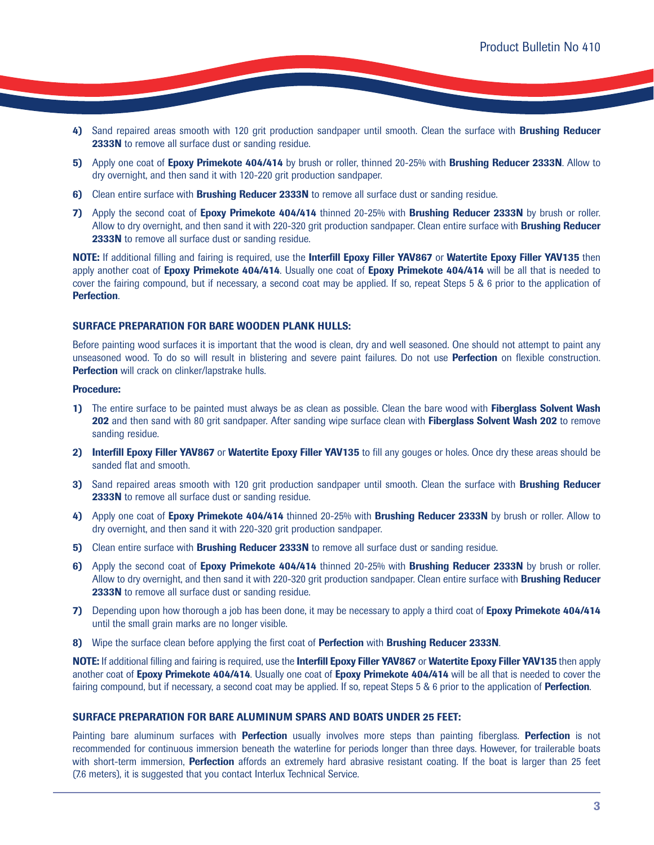- **4)** Sand repaired areas smooth with 120 grit production sandpaper until smooth. Clean the surface with **Brushing Reducer 2333N** to remove all surface dust or sanding residue.
- **5)** Apply one coat of **Epoxy Primekote 404/414** by brush or roller, thinned 20-25% with **Brushing Reducer 2333N**. Allow to dry overnight, and then sand it with 120-220 grit production sandpaper.
- **6)** Clean entire surface with **Brushing Reducer 2333N** to remove all surface dust or sanding residue.
- **7)** Apply the second coat of **Epoxy Primekote 404/414** thinned 20-25% with **Brushing Reducer 2333N** by brush or roller. Allow to dry overnight, and then sand it with 220-320 grit production sandpaper. Clean entire surface with **Brushing Reducer 2333N** to remove all surface dust or sanding residue.

**NOTE:** If additional filling and fairing is required, use the **Interfill Epoxy Filler YAV867** or **Watertite Epoxy Filler YAV135** then apply another coat of **Epoxy Primekote 404/414**. Usually one coat of **Epoxy Primekote 404/414** will be all that is needed to cover the fairing compound, but if necessary, a second coat may be applied. If so, repeat Steps 5 & 6 prior to the application of **Perfection**.

#### **SURFACE PREPARATION FOR BARE WOODEN PLANK HULLS:**

Before painting wood surfaces it is important that the wood is clean, dry and well seasoned. One should not attempt to paint any unseasoned wood. To do so will result in blistering and severe paint failures. Do not use **Perfection** on flexible construction. **Perfection** will crack on clinker/lapstrake hulls.

#### **Procedure:**

- **1)** The entire surface to be painted must always be as clean as possible. Clean the bare wood with **Fiberglass Solvent Wash 202** and then sand with 80 grit sandpaper. After sanding wipe surface clean with **Fiberglass Solvent Wash 202** to remove sanding residue.
- **2) Interfill Epoxy Filler YAV867** or **Watertite Epoxy Filler YAV135** to fill any gouges or holes. Once dry these areas should be sanded flat and smooth.
- **3)** Sand repaired areas smooth with 120 grit production sandpaper until smooth. Clean the surface with **Brushing Reducer 2333N** to remove all surface dust or sanding residue.
- **4)** Apply one coat of **Epoxy Primekote 404/414** thinned 20-25% with **Brushing Reducer 2333N** by brush or roller. Allow to dry overnight, and then sand it with 220-320 grit production sandpaper.
- **5)** Clean entire surface with **Brushing Reducer 2333N** to remove all surface dust or sanding residue.
- **6)** Apply the second coat of **Epoxy Primekote 404/414** thinned 20-25% with **Brushing Reducer 2333N** by brush or roller. Allow to dry overnight, and then sand it with 220-320 grit production sandpaper. Clean entire surface with **Brushing Reducer 2333N** to remove all surface dust or sanding residue.
- **7)** Depending upon how thorough a job has been done, it may be necessary to apply a third coat of **Epoxy Primekote 404/414** until the small grain marks are no longer visible.
- **8)** Wipe the surface clean before applying the first coat of **Perfection** with **Brushing Reducer 2333N**.

**NOTE:** If additional filling and fairing is required, use the **Interfill Epoxy Filler YAV867** or **Watertite Epoxy Filler YAV135** then apply another coat of **Epoxy Primekote 404/414**. Usually one coat of **Epoxy Primekote 404/414** will be all that is needed to cover the fairing compound, but if necessary, a second coat may be applied. If so, repeat Steps 5 & 6 prior to the application of **Perfection**.

#### **SURFACE PREPARATION FOR BARE ALUMINUM SPARS AND BOATS UNDER 25 FEET:**

Painting bare aluminum surfaces with **Perfection** usually involves more steps than painting fiberglass. **Perfection** is not recommended for continuous immersion beneath the waterline for periods longer than three days. However, for trailerable boats with short-term immersion, **Perfection** affords an extremely hard abrasive resistant coating. If the boat is larger than 25 feet (7.6 meters), it is suggested that you contact Interlux Technical Service.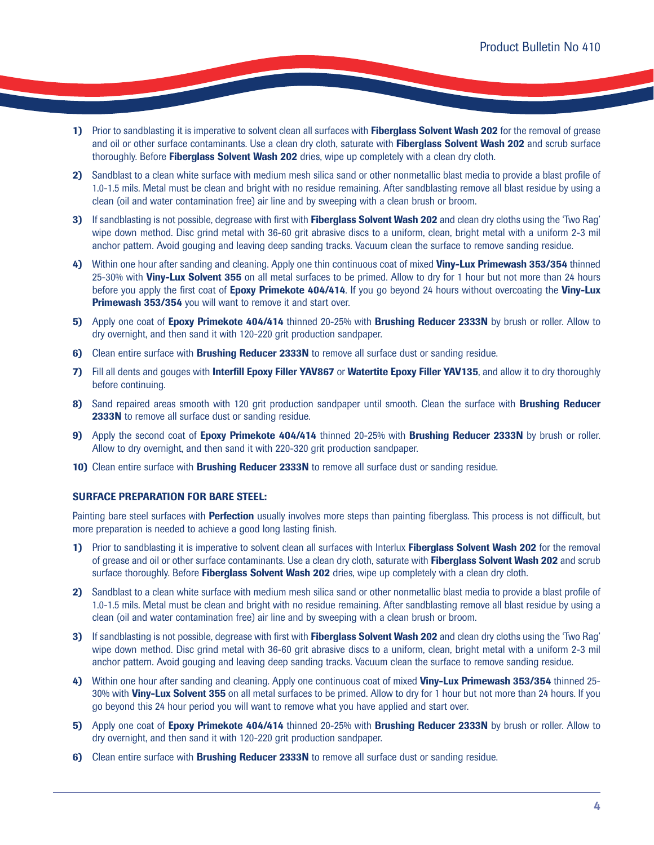- **1)** Prior to sandblasting it is imperative to solvent clean all surfaces with **Fiberglass Solvent Wash 202** for the removal of grease and oil or other surface contaminants. Use a clean dry cloth, saturate with **Fiberglass Solvent Wash 202** and scrub surface thoroughly. Before **Fiberglass Solvent Wash 202** dries, wipe up completely with a clean dry cloth.
- **2)** Sandblast to a clean white surface with medium mesh silica sand or other nonmetallic blast media to provide a blast profile of 1.0-1.5 mils. Metal must be clean and bright with no residue remaining. After sandblasting remove all blast residue by using a clean (oil and water contamination free) air line and by sweeping with a clean brush or broom.
- **3)** If sandblasting is not possible, degrease with first with **Fiberglass Solvent Wash 202** and clean dry cloths using the 'Two Rag' wipe down method. Disc grind metal with 36-60 grit abrasive discs to a uniform, clean, bright metal with a uniform 2-3 mil anchor pattern. Avoid gouging and leaving deep sanding tracks. Vacuum clean the surface to remove sanding residue.
- **4)** Within one hour after sanding and cleaning. Apply one thin continuous coat of mixed **Viny-Lux Primewash 353/354** thinned 25-30% with **Viny-Lux Solvent 355** on all metal surfaces to be primed. Allow to dry for 1 hour but not more than 24 hours before you apply the first coat of **Epoxy Primekote 404/414**. If you go beyond 24 hours without overcoating the **Viny-Lux Primewash 353/354** you will want to remove it and start over.
- **5)** Apply one coat of **Epoxy Primekote 404/414** thinned 20-25% with **Brushing Reducer 2333N** by brush or roller. Allow to dry overnight, and then sand it with 120-220 grit production sandpaper.
- **6)** Clean entire surface with **Brushing Reducer 2333N** to remove all surface dust or sanding residue.
- **7)** Fill all dents and gouges with **Interfill Epoxy Filler YAV867** or **Watertite Epoxy Filler YAV135**, and allow it to dry thoroughly before continuing.
- **8)** Sand repaired areas smooth with 120 grit production sandpaper until smooth. Clean the surface with **Brushing Reducer 2333N** to remove all surface dust or sanding residue.
- **9)** Apply the second coat of **Epoxy Primekote 404/414** thinned 20-25% with **Brushing Reducer 2333N** by brush or roller. Allow to dry overnight, and then sand it with 220-320 grit production sandpaper.
- **10)** Clean entire surface with **Brushing Reducer 2333N** to remove all surface dust or sanding residue.

### **SURFACE PREPARATION FOR BARE STEEL:**

Painting bare steel surfaces with **Perfection** usually involves more steps than painting fiberglass. This process is not difficult, but more preparation is needed to achieve a good long lasting finish.

- **1)** Prior to sandblasting it is imperative to solvent clean all surfaces with Interlux **Fiberglass Solvent Wash 202** for the removal of grease and oil or other surface contaminants. Use a clean dry cloth, saturate with **Fiberglass Solvent Wash 202** and scrub surface thoroughly. Before **Fiberglass Solvent Wash 202** dries, wipe up completely with a clean dry cloth.
- **2)** Sandblast to a clean white surface with medium mesh silica sand or other nonmetallic blast media to provide a blast profile of 1.0-1.5 mils. Metal must be clean and bright with no residue remaining. After sandblasting remove all blast residue by using a clean (oil and water contamination free) air line and by sweeping with a clean brush or broom.
- **3)** If sandblasting is not possible, degrease with first with **Fiberglass Solvent Wash 202** and clean dry cloths using the 'Two Rag' wipe down method. Disc grind metal with 36-60 grit abrasive discs to a uniform, clean, bright metal with a uniform 2-3 mil anchor pattern. Avoid gouging and leaving deep sanding tracks. Vacuum clean the surface to remove sanding residue.
- **4)** Within one hour after sanding and cleaning. Apply one continuous coat of mixed **Viny-Lux Primewash 353/354** thinned 25- 30% with **Viny-Lux Solvent 355** on all metal surfaces to be primed. Allow to dry for 1 hour but not more than 24 hours. If you go beyond this 24 hour period you will want to remove what you have applied and start over.
- **5)** Apply one coat of **Epoxy Primekote 404/414** thinned 20-25% with **Brushing Reducer 2333N** by brush or roller. Allow to dry overnight, and then sand it with 120-220 grit production sandpaper.
- **6)** Clean entire surface with **Brushing Reducer 2333N** to remove all surface dust or sanding residue.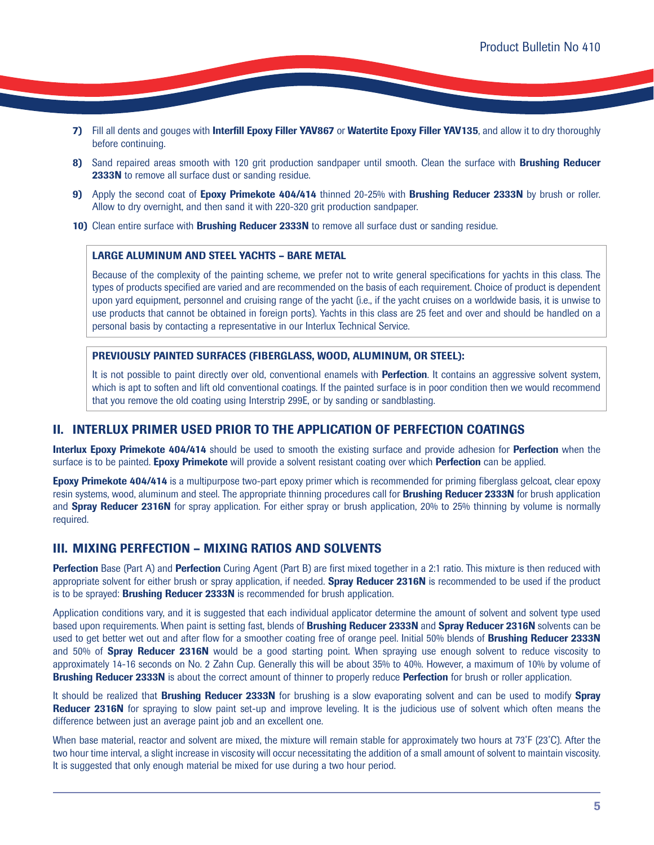- **7)** Fill all dents and gouges with **Interfill Epoxy Filler YAV867** or **Watertite Epoxy Filler YAV135**, and allow it to dry thoroughly before continuing.
- **8)** Sand repaired areas smooth with 120 grit production sandpaper until smooth. Clean the surface with **Brushing Reducer 2333N** to remove all surface dust or sanding residue.
- **9)** Apply the second coat of **Epoxy Primekote 404/414** thinned 20-25% with **Brushing Reducer 2333N** by brush or roller. Allow to dry overnight, and then sand it with 220-320 grit production sandpaper.
- **10)** Clean entire surface with **Brushing Reducer 2333N** to remove all surface dust or sanding residue.

#### **LARGE ALUMINUM AND STEEL YACHTS – BARE METAL**

Because of the complexity of the painting scheme, we prefer not to write general specifications for yachts in this class. The types of products specified are varied and are recommended on the basis of each requirement. Choice of product is dependent upon yard equipment, personnel and cruising range of the yacht (i.e., if the yacht cruises on a worldwide basis, it is unwise to use products that cannot be obtained in foreign ports). Yachts in this class are 25 feet and over and should be handled on a personal basis by contacting a representative in our Interlux Technical Service.

#### **PREVIOUSLY PAINTED SURFACES (FIBERGLASS, WOOD, ALUMINUM, OR STEEL):**

It is not possible to paint directly over old, conventional enamels with **Perfection**. It contains an aggressive solvent system, which is apt to soften and lift old conventional coatings. If the painted surface is in poor condition then we would recommend that you remove the old coating using Interstrip 299E, or by sanding or sandblasting.

# **II. INTERLUX PRIMER USED PRIOR TO THE APPLICATION OF PERFECTION COATINGS**

**Interlux Epoxy Primekote 404/414** should be used to smooth the existing surface and provide adhesion for **Perfection** when the surface is to be painted. **Epoxy Primekote** will provide a solvent resistant coating over which **Perfection** can be applied.

**Epoxy Primekote 404/414** is a multipurpose two-part epoxy primer which is recommended for priming fiberglass gelcoat, clear epoxy resin systems, wood, aluminum and steel. The appropriate thinning procedures call for **Brushing Reducer 2333N** for brush application and **Spray Reducer 2316N** for spray application. For either spray or brush application, 20% to 25% thinning by volume is normally required.

# **III. MIXING PERFECTION – MIXING RATIOS AND SOLVENTS**

**Perfection** Base (Part A) and **Perfection** Curing Agent (Part B) are first mixed together in a 2:1 ratio. This mixture is then reduced with appropriate solvent for either brush or spray application, if needed. **Spray Reducer 2316N** is recommended to be used if the product is to be sprayed: **Brushing Reducer 2333N** is recommended for brush application.

Application conditions vary, and it is suggested that each individual applicator determine the amount of solvent and solvent type used based upon requirements. When paint is setting fast, blends of **Brushing Reducer 2333N** and **Spray Reducer 2316N** solvents can be used to get better wet out and after flow for a smoother coating free of orange peel. Initial 50% blends of **Brushing Reducer 2333N** and 50% of **Spray Reducer 2316N** would be a good starting point. When spraying use enough solvent to reduce viscosity to approximately 14-16 seconds on No. 2 Zahn Cup. Generally this will be about 35% to 40%. However, a maximum of 10% by volume of **Brushing Reducer 2333N** is about the correct amount of thinner to properly reduce **Perfection** for brush or roller application.

It should be realized that **Brushing Reducer 2333N** for brushing is a slow evaporating solvent and can be used to modify **Spray Reducer 2316N** for spraying to slow paint set-up and improve leveling. It is the judicious use of solvent which often means the difference between just an average paint job and an excellent one.

When base material, reactor and solvent are mixed, the mixture will remain stable for approximately two hours at 73˚F (23˚C). After the two hour time interval, a slight increase in viscosity will occur necessitating the addition of a small amount of solvent to maintain viscosity. It is suggested that only enough material be mixed for use during a two hour period.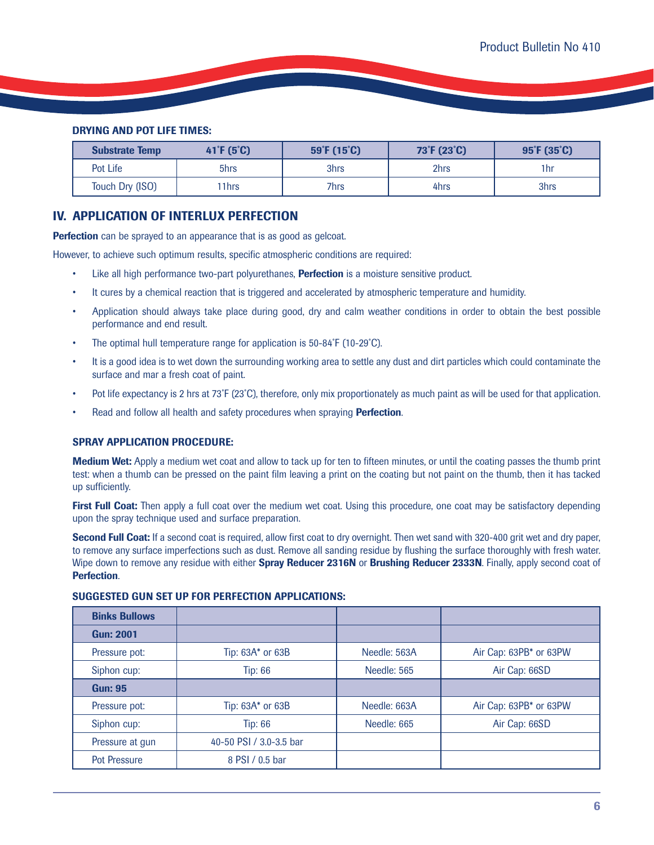# **DRYING AND POT LIFE TIMES:**

| <b>Substrate Temp</b> | $41^{\circ}F(5^{\circ}C)$ | 59°F (15°C) | 73°F (23°C) | $95^{\circ}F(35^{\circ}C)$ |
|-----------------------|---------------------------|-------------|-------------|----------------------------|
| Pot Life              | 5hrs                      | 3hrs        | 2hrs        | 1hr                        |
| Touch Dry (ISO)       | '1hrs                     | 7hrs        | 4hrs        | 3hrs                       |

# **IV. APPLICATION OF INTERLUX PERFECTION**

**Perfection** can be sprayed to an appearance that is as good as gelcoat.

However, to achieve such optimum results, specific atmospheric conditions are required:

- Like all high performance two-part polyurethanes, **Perfection** is a moisture sensitive product.
- It cures by a chemical reaction that is triggered and accelerated by atmospheric temperature and humidity.
- Application should always take place during good, dry and calm weather conditions in order to obtain the best possible performance and end result.
- The optimal hull temperature range for application is 50-84°F (10-29°C).
- It is a good idea is to wet down the surrounding working area to settle any dust and dirt particles which could contaminate the surface and mar a fresh coat of paint.
- Pot life expectancy is 2 hrs at 73˚F (23˚C), therefore, only mix proportionately as much paint as will be used for that application.
- Read and follow all health and safety procedures when spraying **Perfection**.

#### **SPRAY APPLICATION PROCEDURE:**

**Medium Wet:** Apply a medium wet coat and allow to tack up for ten to fifteen minutes, or until the coating passes the thumb print test: when a thumb can be pressed on the paint film leaving a print on the coating but not paint on the thumb, then it has tacked up sufficiently.

**First Full Coat:** Then apply a full coat over the medium wet coat. Using this procedure, one coat may be satisfactory depending upon the spray technique used and surface preparation.

**Second Full Coat:** If a second coat is required, allow first coat to dry overnight. Then wet sand with 320-400 grit wet and dry paper, to remove any surface imperfections such as dust. Remove all sanding residue by flushing the surface thoroughly with fresh water. Wipe down to remove any residue with either **Spray Reducer 2316N** or **Brushing Reducer 2333N**. Finally, apply second coat of **Perfection**.

| <b>Binks Bullows</b>          |                         |              |                        |
|-------------------------------|-------------------------|--------------|------------------------|
| <b>Gun: 2001</b>              |                         |              |                        |
| Pressure pot:                 | Tip: 63A* or 63B        | Needle: 563A | Air Cap: 63PB* or 63PW |
| Siphon cup:<br><b>Tip: 66</b> |                         | Needle: 565  | Air Cap: 66SD          |
| <b>Gun: 95</b>                |                         |              |                        |
| Pressure pot:                 | Tip: 63A* or 63B        | Needle: 663A | Air Cap: 63PB* or 63PW |
| Siphon cup:                   | <b>Tip: 66</b>          | Needle: 665  | Air Cap: 66SD          |
| Pressure at gun               | 40-50 PSI / 3.0-3.5 bar |              |                        |
| <b>Pot Pressure</b>           | 8 PSI / 0.5 bar         |              |                        |

### **SUGGESTED GUN SET UP FOR PERFECTION APPLICATIONS:**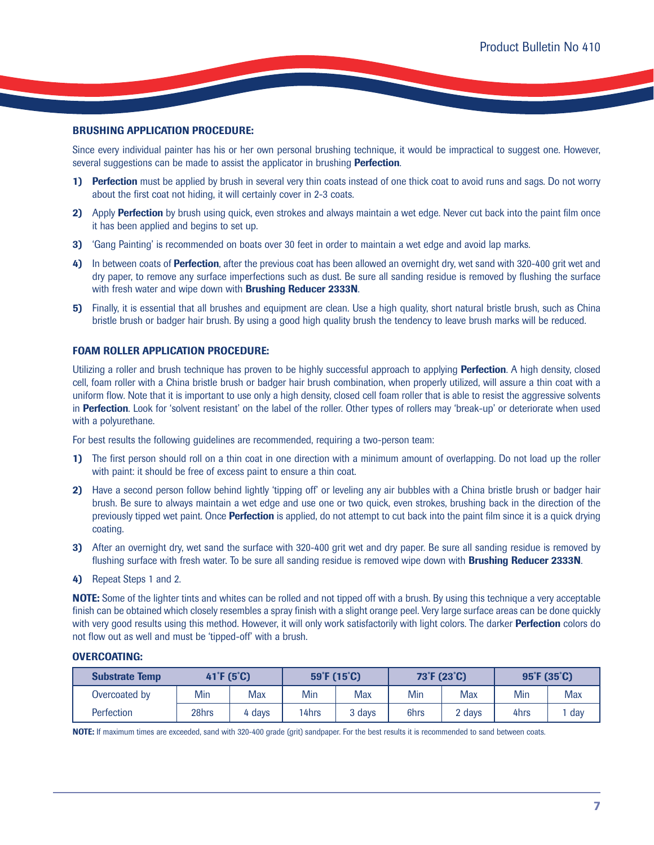### **BRUSHING APPLICATION PROCEDURE:**

Since every individual painter has his or her own personal brushing technique, it would be impractical to suggest one. However, several suggestions can be made to assist the applicator in brushing **Perfection**.

- **1) Perfection** must be applied by brush in several very thin coats instead of one thick coat to avoid runs and sags. Do not worry about the first coat not hiding, it will certainly cover in 2-3 coats.
- **2)** Apply **Perfection** by brush using quick, even strokes and always maintain a wet edge. Never cut back into the paint film once it has been applied and begins to set up.
- **3)** 'Gang Painting' is recommended on boats over 30 feet in order to maintain a wet edge and avoid lap marks.
- **4)** In between coats of **Perfection**, after the previous coat has been allowed an overnight dry, wet sand with 320-400 grit wet and dry paper, to remove any surface imperfections such as dust. Be sure all sanding residue is removed by flushing the surface with fresh water and wipe down with **Brushing Reducer 2333N**.
- **5)** Finally, it is essential that all brushes and equipment are clean. Use a high quality, short natural bristle brush, such as China bristle brush or badger hair brush. By using a good high quality brush the tendency to leave brush marks will be reduced.

### **FOAM ROLLER APPLICATION PROCEDURE:**

Utilizing a roller and brush technique has proven to be highly successful approach to applying **Perfection**. A high density, closed cell, foam roller with a China bristle brush or badger hair brush combination, when properly utilized, will assure a thin coat with a uniform flow. Note that it is important to use only a high density, closed cell foam roller that is able to resist the aggressive solvents in **Perfection**. Look for 'solvent resistant' on the label of the roller. Other types of rollers may 'break-up' or deteriorate when used with a polyurethane.

For best results the following guidelines are recommended, requiring a two-person team:

- **1)** The first person should roll on a thin coat in one direction with a minimum amount of overlapping. Do not load up the roller with paint: it should be free of excess paint to ensure a thin coat.
- **2)** Have a second person follow behind lightly 'tipping off' or leveling any air bubbles with a China bristle brush or badger hair brush. Be sure to always maintain a wet edge and use one or two quick, even strokes, brushing back in the direction of the previously tipped wet paint. Once **Perfection** is applied, do not attempt to cut back into the paint film since it is a quick drying coating.
- **3)** After an overnight dry, wet sand the surface with 320-400 grit wet and dry paper. Be sure all sanding residue is removed by flushing surface with fresh water. To be sure all sanding residue is removed wipe down with **Brushing Reducer 2333N**.
- **4)** Repeat Steps 1 and 2.

**NOTE:** Some of the lighter tints and whites can be rolled and not tipped off with a brush. By using this technique a very acceptable finish can be obtained which closely resembles a spray finish with a slight orange peel. Very large surface areas can be done quickly with very good results using this method. However, it will only work satisfactorily with light colors. The darker **Perfection** colors do not flow out as well and must be 'tipped-off' with a brush.

# **OVERCOATING:**

| <b>Substrate Temp</b> | 41 F (5 °C) |        | $59^{\circ}$ F (15 $^{\circ}$ C) |        | 73 <sup>°</sup> F (23 <sup>°</sup> C) |        | $95^{\circ}$ F (35 $^{\circ}$ C) |            |
|-----------------------|-------------|--------|----------------------------------|--------|---------------------------------------|--------|----------------------------------|------------|
| Overcoated by         | Min         | Max    | Min                              | Max    | Min                                   | Max    | Min                              | <b>Max</b> |
| <b>Perfection</b>     | 28hrs       | 4 days | 14hrs                            | 3 days | 6hrs                                  | 2 days | 4hrs                             | day        |

**NOTE:** If maximum times are exceeded, sand with 320-400 grade (grit) sandpaper. For the best results it is recommended to sand between coats.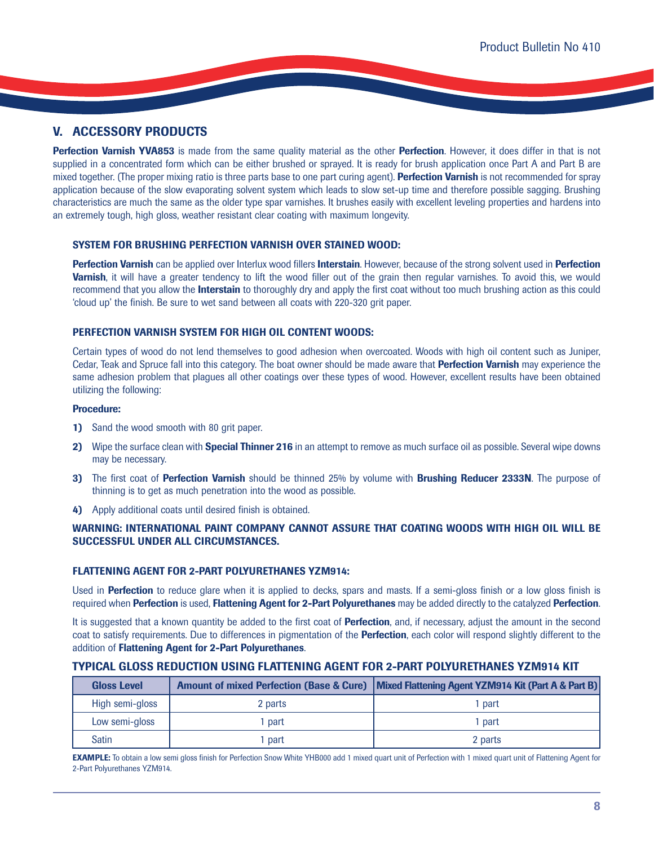# **V. ACCESSORY PRODUCTS**

**Perfection Varnish YVA853** is made from the same quality material as the other **Perfection**. However, it does differ in that is not supplied in a concentrated form which can be either brushed or sprayed. It is ready for brush application once Part A and Part B are mixed together. (The proper mixing ratio is three parts base to one part curing agent). **Perfection Varnish** is not recommended for spray application because of the slow evaporating solvent system which leads to slow set-up time and therefore possible sagging. Brushing characteristics are much the same as the older type spar varnishes. It brushes easily with excellent leveling properties and hardens into an extremely tough, high gloss, weather resistant clear coating with maximum longevity.

# **SYSTEM FOR BRUSHING PERFECTION VARNISH OVER STAINED WOOD:**

**Perfection Varnish** can be applied over Interlux wood fillers **Interstain**. However, because of the strong solvent used in **Perfection Varnish**, it will have a greater tendency to lift the wood filler out of the grain then regular varnishes. To avoid this, we would recommend that you allow the **Interstain** to thoroughly dry and apply the first coat without too much brushing action as this could 'cloud up' the finish. Be sure to wet sand between all coats with 220-320 grit paper.

# **PERFECTION VARNISH SYSTEM FOR HIGH OIL CONTENT WOODS:**

Certain types of wood do not lend themselves to good adhesion when overcoated. Woods with high oil content such as Juniper, Cedar, Teak and Spruce fall into this category. The boat owner should be made aware that **Perfection Varnish** may experience the same adhesion problem that plagues all other coatings over these types of wood. However, excellent results have been obtained utilizing the following:

### **Procedure:**

- **1)** Sand the wood smooth with 80 grit paper.
- **2)** Wipe the surface clean with **Special Thinner 216** in an attempt to remove as much surface oil as possible. Several wipe downs may be necessary.
- **3)** The first coat of **Perfection Varnish** should be thinned 25% by volume with **Brushing Reducer 2333N**. The purpose of thinning is to get as much penetration into the wood as possible.
- **4)** Apply additional coats until desired finish is obtained.

# **WARNING: INTERNATIONAL PAINT COMPANY CANNOT ASSURE THAT COATING WOODS WITH HIGH OIL WILL BE SUCCESSFUL UNDER ALL CIRCUMSTANCES.**

# **FLATTENING AGENT FOR 2-PART POLYURETHANES YZM914:**

Used in **Perfection** to reduce glare when it is applied to decks, spars and masts. If a semi-gloss finish or a low gloss finish is required when **Perfection** is used, **Flattening Agent for 2-Part Polyurethanes** may be added directly to the catalyzed **Perfection**.

It is suggested that a known quantity be added to the first coat of **Perfection**, and, if necessary, adjust the amount in the second coat to satisfy requirements. Due to differences in pigmentation of the **Perfection**, each color will respond slightly different to the addition of **Flattening Agent for 2-Part Polyurethanes**.

# **TYPICAL GLOSS REDUCTION USING FLATTENING AGENT FOR 2-PART POLYURETHANES YZM914 KIT**

| <b>Gloss Level</b> |         | Amount of mixed Perfection (Base & Cure)   Mixed Flattening Agent YZM914 Kit (Part A & Part B) |
|--------------------|---------|------------------------------------------------------------------------------------------------|
| High semi-gloss    | 2 parts | part                                                                                           |
| Low semi-gloss     | part    | <b>part</b>                                                                                    |
| Satin              | part    | 2 parts                                                                                        |

**EXAMPLE:** To obtain a low semi gloss finish for Perfection Snow White YHB000 add 1 mixed quart unit of Perfection with 1 mixed quart unit of Flattening Agent for 2-Part Polyurethanes YZM914.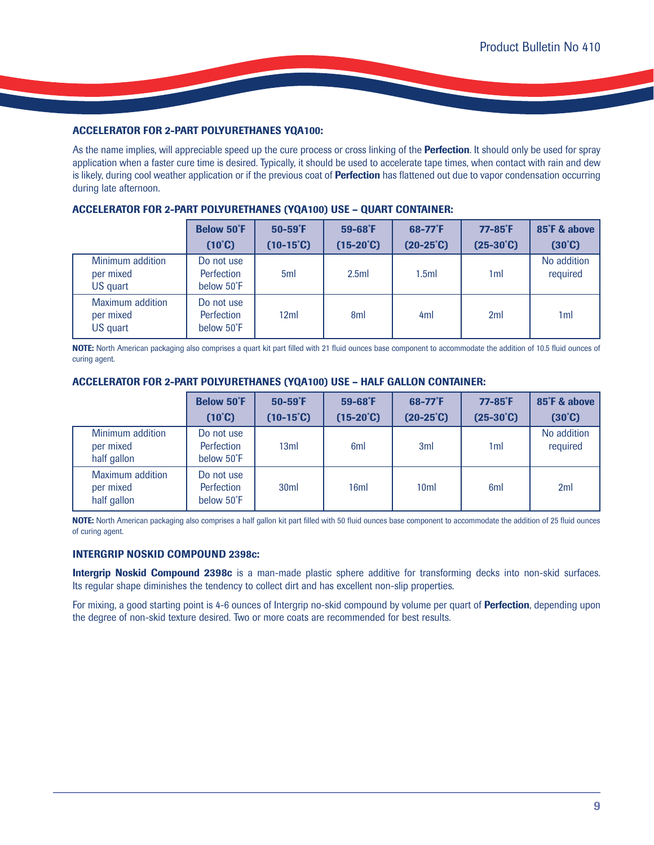# **ACCELERATOR FOR 2-PART POLYURETHANES YQA100:**

As the name implies, will appreciable speed up the cure process or cross linking of the **Perfection**. It should only be used for spray application when a faster cure time is desired. Typically, it should be used to accelerate tape times, when contact with rain and dew is likely, during cool weather application or if the previous coat of **Perfection** has flattened out due to vapor condensation occurring during late afternoon.

# **ACCELERATOR FOR 2-PART POLYURETHANES (YQA100) USE – QUART CONTAINER:**

|                                           | <b>Below 50°F</b><br>$(10^{\circ}C)$   | $50-59$ <sup>°</sup> F<br>$(10-15^{\circ}C)$ | $59-68$ <sup>°</sup> F<br>$(15-20^{\circ}C)$ | $68 - 77$ <sup>°</sup> F<br>$(20-25^{\circ}C)$ | $77-85$ <sup>°</sup> F<br>$(25-30^{\circ}C)$ | 85°F & above<br>$(30^{\circ}\text{C})$ |
|-------------------------------------------|----------------------------------------|----------------------------------------------|----------------------------------------------|------------------------------------------------|----------------------------------------------|----------------------------------------|
| Minimum addition<br>per mixed<br>US quart | Do not use<br>Perfection<br>below 50°F | 5ml                                          | 2.5ml                                        | 1.5ml                                          | 1 <sub>ml</sub>                              | No addition<br>required                |
| Maximum addition<br>per mixed<br>US quart | Do not use<br>Perfection<br>below 50°F | 12ml                                         | 8 <sub>ml</sub>                              | 4 <sub>m</sub>                                 | 2ml                                          | 1ml                                    |

**NOTE:** North American packaging also comprises a quart kit part filled with 21 fluid ounces base component to accommodate the addition of 10.5 fluid ounces of curing agent.

# **ACCELERATOR FOR 2-PART POLYURETHANES (YQA100) USE – HALF GALLON CONTAINER:**

|                                              | <b>Below 50°F</b><br>$(10^{\circ}C)$   | $50-59$ <sup>°</sup> F<br>$(10-15^{\circ}C)$ | $59-68$ <sup>°</sup> F<br>$(15-20^{\circ}C)$ | 68-77°F<br>$(20-25^{\circ}\text{C})$ | $77-85$ <sup>°</sup> F<br>$(25-30^{\circ}C)$ | 85°F & above<br>$(30^{\circ}\text{C})$ |
|----------------------------------------------|----------------------------------------|----------------------------------------------|----------------------------------------------|--------------------------------------|----------------------------------------------|----------------------------------------|
| Minimum addition<br>per mixed<br>half gallon | Do not use<br>Perfection<br>below 50°F | 13ml                                         | 6 <sub>ml</sub>                              | 3ml                                  | 1ml                                          | No addition<br>required                |
| Maximum addition<br>per mixed<br>half gallon | Do not use<br>Perfection<br>below 50°F | 30 <sub>ml</sub>                             | 16ml                                         | 10 <sub>m</sub>                      | 6 <sub>ml</sub>                              | 2ml                                    |

**NOTE:** North American packaging also comprises a half gallon kit part filled with 50 fluid ounces base component to accommodate the addition of 25 fluid ounces of curing agent.

# **INTERGRIP NOSKID COMPOUND 2398c:**

**Intergrip Noskid Compound 2398c** is a man-made plastic sphere additive for transforming decks into non-skid surfaces. Its regular shape diminishes the tendency to collect dirt and has excellent non-slip properties.

For mixing, a good starting point is 4-6 ounces of Intergrip no-skid compound by volume per quart of **Perfection**, depending upon the degree of non-skid texture desired. Two or more coats are recommended for best results.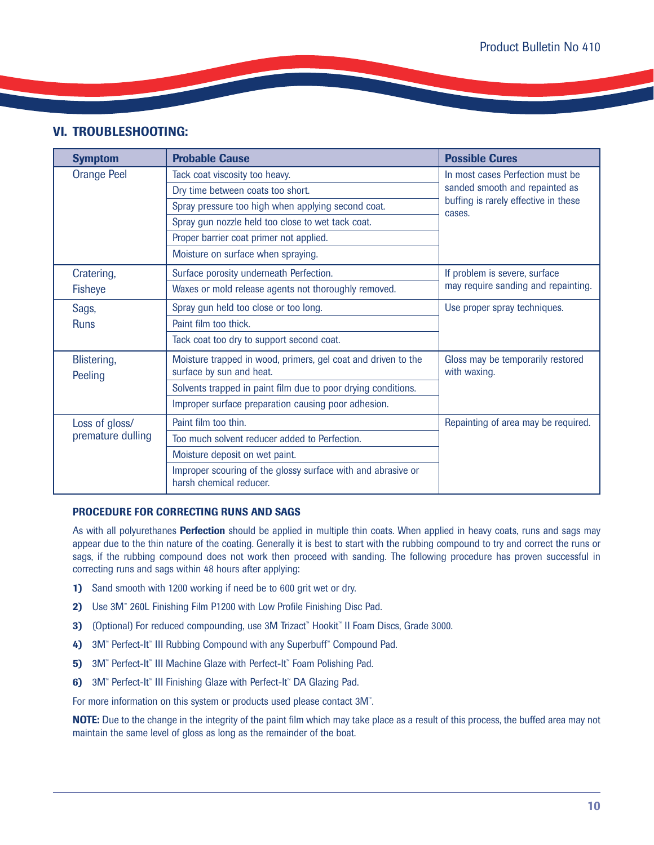# **VI. TROUBLESHOOTING:**

| <b>Symptom</b>         | <b>Probable Cause</b>                                                                     | <b>Possible Cures</b>                             |  |  |
|------------------------|-------------------------------------------------------------------------------------------|---------------------------------------------------|--|--|
| <b>Orange Peel</b>     | Tack coat viscosity too heavy.                                                            | In most cases Perfection must be                  |  |  |
|                        | Dry time between coats too short.                                                         | sanded smooth and repainted as                    |  |  |
|                        | Spray pressure too high when applying second coat.                                        | buffing is rarely effective in these<br>cases.    |  |  |
|                        | Spray gun nozzle held too close to wet tack coat.                                         |                                                   |  |  |
|                        | Proper barrier coat primer not applied.                                                   |                                                   |  |  |
|                        | Moisture on surface when spraying.                                                        |                                                   |  |  |
| Cratering,             | Surface porosity underneath Perfection.                                                   | If problem is severe, surface                     |  |  |
| <b>Fisheye</b>         | Waxes or mold release agents not thoroughly removed.                                      | may require sanding and repainting.               |  |  |
| Sags,                  | Spray gun held too close or too long.                                                     | Use proper spray techniques.                      |  |  |
| <b>Runs</b>            | Paint film too thick.                                                                     |                                                   |  |  |
|                        | Tack coat too dry to support second coat.                                                 |                                                   |  |  |
| Blistering,<br>Peeling | Moisture trapped in wood, primers, gel coat and driven to the<br>surface by sun and heat. | Gloss may be temporarily restored<br>with waxing. |  |  |
|                        | Solvents trapped in paint film due to poor drying conditions.                             |                                                   |  |  |
|                        | Improper surface preparation causing poor adhesion.                                       |                                                   |  |  |
| Loss of gloss/         | Paint film too thin.                                                                      | Repainting of area may be required.               |  |  |
| premature dulling      | Too much solvent reducer added to Perfection.                                             |                                                   |  |  |
|                        | Moisture deposit on wet paint.                                                            |                                                   |  |  |
|                        | Improper scouring of the glossy surface with and abrasive or<br>harsh chemical reducer.   |                                                   |  |  |

# **PROCEDURE FOR CORRECTING RUNS AND SAGS**

As with all polyurethanes **Perfection** should be applied in multiple thin coats. When applied in heavy coats, runs and sags may appear due to the thin nature of the coating. Generally it is best to start with the rubbing compound to try and correct the runs or sags, if the rubbing compound does not work then proceed with sanding. The following procedure has proven successful in correcting runs and sags within 48 hours after applying:

- **1)** Sand smooth with 1200 working if need be to 600 grit wet or dry.
- **2)** Use 3M<sup>™</sup> 260L Finishing Film P1200 with Low Profile Finishing Disc Pad.
- **3)** (Optional) For reduced compounding, use 3M Trizact<sup>™</sup> Hookit<sup>™</sup> II Foam Discs, Grade 3000.
- **4)** 3M<sup>™</sup> Perfect-It<sup>™</sup> III Rubbing Compound with any Superbuff<sup>™</sup> Compound Pad.
- **5)** 3M™ Perfect-It™ III Machine Glaze with Perfect-It™ Foam Polishing Pad.
- **6)** 3M<sup>™</sup> Perfect-It<sup>™</sup> III Finishing Glaze with Perfect-It™ DA Glazing Pad.

For more information on this system or products used please contact 3M™.

**NOTE:** Due to the change in the integrity of the paint film which may take place as a result of this process, the buffed area may not maintain the same level of gloss as long as the remainder of the boat.